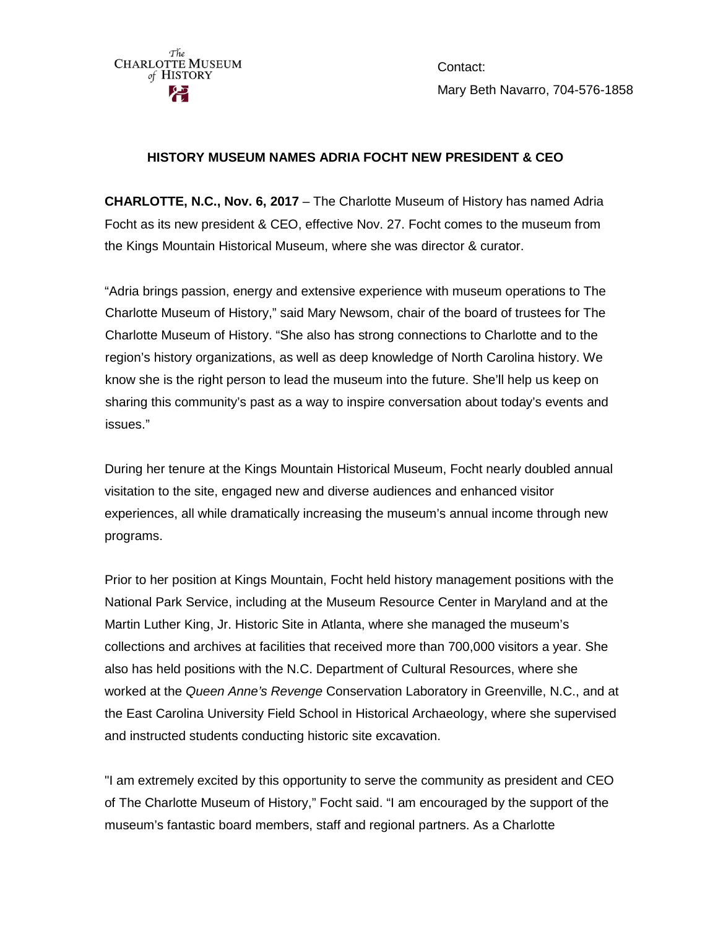

Contact: Mary Beth Navarro, 704-576-1858

## **HISTORY MUSEUM NAMES ADRIA FOCHT NEW PRESIDENT & CEO**

**CHARLOTTE, N.C., Nov. 6, 2017** – The Charlotte Museum of History has named Adria Focht as its new president & CEO, effective Nov. 27. Focht comes to the museum from the Kings Mountain Historical Museum, where she was director & curator.

"Adria brings passion, energy and extensive experience with museum operations to The Charlotte Museum of History," said Mary Newsom, chair of the board of trustees for The Charlotte Museum of History. "She also has strong connections to Charlotte and to the region's history organizations, as well as deep knowledge of North Carolina history. We know she is the right person to lead the museum into the future. She'll help us keep on sharing this community's past as a way to inspire conversation about today's events and issues."

During her tenure at the Kings Mountain Historical Museum, Focht nearly doubled annual visitation to the site, engaged new and diverse audiences and enhanced visitor experiences, all while dramatically increasing the museum's annual income through new programs.

Prior to her position at Kings Mountain, Focht held history management positions with the National Park Service, including at the Museum Resource Center in Maryland and at the Martin Luther King, Jr. Historic Site in Atlanta, where she managed the museum's collections and archives at facilities that received more than 700,000 visitors a year. She also has held positions with the N.C. Department of Cultural Resources, where she worked at the *Queen Anne's Revenge* Conservation Laboratory in Greenville, N.C., and at the East Carolina University Field School in Historical Archaeology, where she supervised and instructed students conducting historic site excavation.

"I am extremely excited by this opportunity to serve the community as president and CEO of The Charlotte Museum of History," Focht said. "I am encouraged by the support of the museum's fantastic board members, staff and regional partners. As a Charlotte